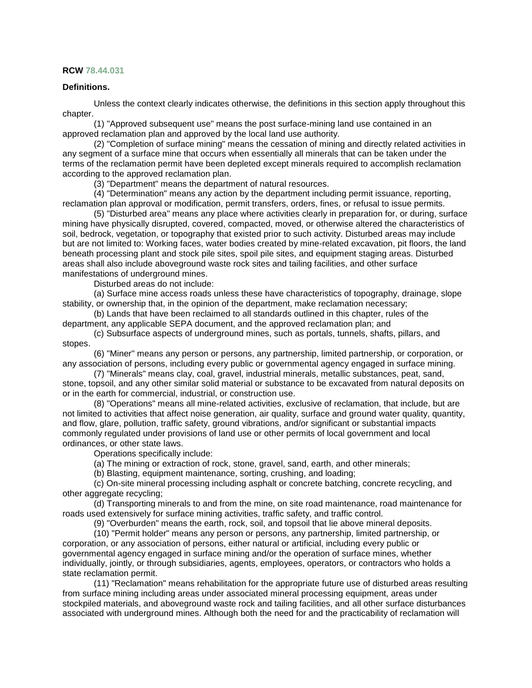## **RCW [78.44.031](http://app.leg.wa.gov/RCW/default.aspx?cite=78.44.031)**

## **Definitions.**

Unless the context clearly indicates otherwise, the definitions in this section apply throughout this chapter.

(1) "Approved subsequent use" means the post surface-mining land use contained in an approved reclamation plan and approved by the local land use authority.

(2) "Completion of surface mining" means the cessation of mining and directly related activities in any segment of a surface mine that occurs when essentially all minerals that can be taken under the terms of the reclamation permit have been depleted except minerals required to accomplish reclamation according to the approved reclamation plan.

(3) "Department" means the department of natural resources.

(4) "Determination" means any action by the department including permit issuance, reporting, reclamation plan approval or modification, permit transfers, orders, fines, or refusal to issue permits.

(5) "Disturbed area" means any place where activities clearly in preparation for, or during, surface mining have physically disrupted, covered, compacted, moved, or otherwise altered the characteristics of soil, bedrock, vegetation, or topography that existed prior to such activity. Disturbed areas may include but are not limited to: Working faces, water bodies created by mine-related excavation, pit floors, the land beneath processing plant and stock pile sites, spoil pile sites, and equipment staging areas. Disturbed areas shall also include aboveground waste rock sites and tailing facilities, and other surface manifestations of underground mines.

Disturbed areas do not include:

(a) Surface mine access roads unless these have characteristics of topography, drainage, slope stability, or ownership that, in the opinion of the department, make reclamation necessary;

(b) Lands that have been reclaimed to all standards outlined in this chapter, rules of the department, any applicable SEPA document, and the approved reclamation plan; and

(c) Subsurface aspects of underground mines, such as portals, tunnels, shafts, pillars, and stopes.

(6) "Miner" means any person or persons, any partnership, limited partnership, or corporation, or any association of persons, including every public or governmental agency engaged in surface mining.

(7) "Minerals" means clay, coal, gravel, industrial minerals, metallic substances, peat, sand, stone, topsoil, and any other similar solid material or substance to be excavated from natural deposits on or in the earth for commercial, industrial, or construction use.

(8) "Operations" means all mine-related activities, exclusive of reclamation, that include, but are not limited to activities that affect noise generation, air quality, surface and ground water quality, quantity, and flow, glare, pollution, traffic safety, ground vibrations, and/or significant or substantial impacts commonly regulated under provisions of land use or other permits of local government and local ordinances, or other state laws.

Operations specifically include:

(a) The mining or extraction of rock, stone, gravel, sand, earth, and other minerals;

(b) Blasting, equipment maintenance, sorting, crushing, and loading;

(c) On-site mineral processing including asphalt or concrete batching, concrete recycling, and other aggregate recycling;

(d) Transporting minerals to and from the mine, on site road maintenance, road maintenance for roads used extensively for surface mining activities, traffic safety, and traffic control.

(9) "Overburden" means the earth, rock, soil, and topsoil that lie above mineral deposits.

(10) "Permit holder" means any person or persons, any partnership, limited partnership, or corporation, or any association of persons, either natural or artificial, including every public or governmental agency engaged in surface mining and/or the operation of surface mines, whether individually, jointly, or through subsidiaries, agents, employees, operators, or contractors who holds a state reclamation permit.

(11) "Reclamation" means rehabilitation for the appropriate future use of disturbed areas resulting from surface mining including areas under associated mineral processing equipment, areas under stockpiled materials, and aboveground waste rock and tailing facilities, and all other surface disturbances associated with underground mines. Although both the need for and the practicability of reclamation will